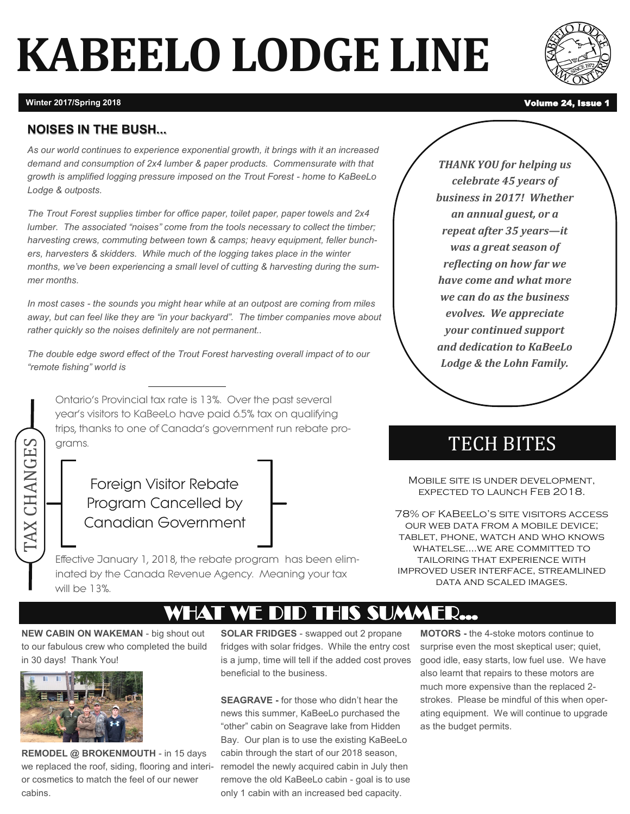# **KABEELO LODGE LINE**



**Winter 2017/Spring 2018** Volume 24, Issue

### **NOISES IN THE BUSH...**

*As our world continues to experience exponential growth, it brings with it an increased demand and consumption of 2x4 lumber & paper products. Commensurate with that growth is amplified logging pressure imposed on the Trout Forest - home to KaBeeLo Lodge & outposts.* 

*The Trout Forest supplies timber for office paper, toilet paper, paper towels and 2x4 lumber. The associated "noises" come from the tools necessary to collect the timber; harvesting crews, commuting between town & camps; heavy equipment, feller bunchers, harvesters & skidders. While much of the logging takes place in the winter months, we've been experiencing a small level of cutting & harvesting during the summer months.* 

*In most cases - the sounds you might hear while at an outpost are coming from miles away, but can feel like they are "in your backyard". The timber companies move about rather quickly so the noises definitely are not permanent..*

*The double edge sword effect of the Trout Forest harvesting overall impact of to our "remote fishing" world is* 

Ontario's Provincial tax rate is 13%. Over the past several year's visitors to KaBeeLo have paid 6.5% tax on qualifying trips, thanks to one of Canada's government run rebate programs.

Foreign Visitor Rebate Program Cancelled by Canadian Government

STRIP TO THIS SUMMER…<br>
MOBILE STE IS FORE PROGRAM CONCRIDENT CONCRETED TO THE CONDUCT ON THE CHANGE OUR WEB DATA F<br>
Effective January 1, 2018, the rebate program has been eliminated by the Canada Revenue Agency. Meaning yo Effective January 1, 2018, the rebate program has been eliminated by the Canada Revenue Agency. Meaning your tax will be 13%.

*THANK YOU for helping us celebrate 45 years of business in 2017! Whether an annual guest, or a repeat after 35 years—it was a great season of reflecting on how far we have come and what more we can do as the business evolves. We appreciate your continued support and dedication to KaBeeLo Lodge & the Lohn Family.*

## TECH BITES

Mobile site is under development, expected to launch Feb 2018.

78% of KaBeeLo's site visitors access our web data from a mobile device; tablet, phone, watch and who knows whatelse….we are committed to tailoring that experience with improved user interface, streamlined data and scaled images.

**NEW CABIN ON WAKEMAN** - big shout out to our fabulous crew who completed the build in 30 days! Thank You!



**REMODEL @ BROKENMOUTH** - in 15 days we replaced the roof, siding, flooring and interior cosmetics to match the feel of our newer cabins.

**SOLAR FRIDGES** - swapped out 2 propane fridges with solar fridges. While the entry cost is a jump, time will tell if the added cost proves beneficial to the business.

**SEAGRAVE -** for those who didn't hear the news this summer, KaBeeLo purchased the "other" cabin on Seagrave lake from Hidden Bay. Our plan is to use the existing KaBeeLo cabin through the start of our 2018 season, remodel the newly acquired cabin in July then remove the old KaBeeLo cabin - goal is to use only 1 cabin with an increased bed capacity.

**MOTORS -** the 4-stoke motors continue to surprise even the most skeptical user; quiet, good idle, easy starts, low fuel use. We have also learnt that repairs to these motors are much more expensive than the replaced 2 strokes. Please be mindful of this when operating equipment. We will continue to upgrade as the budget permits.